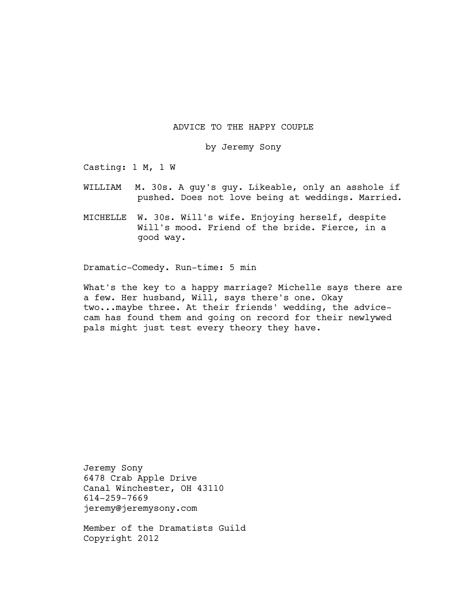# ADVICE TO THE HAPPY COUPLE

by Jeremy Sony

Casting: 1 M, 1 W

- WILLIAM M. 30s. A guy's guy. Likeable, only an asshole if pushed. Does not love being at weddings. Married.
- MICHELLE W. 30s. Will's wife. Enjoying herself, despite Will's mood. Friend of the bride. Fierce, in a good way.

Dramatic-Comedy. Run-time: 5 min

What's the key to a happy marriage? Michelle says there are a few. Her husband, Will, says there's one. Okay two...maybe three. At their friends' wedding, the advicecam has found them and going on record for their newlywed pals might just test every theory they have.

Jeremy Sony 6478 Crab Apple Drive Canal Winchester, OH 43110 614-259-7669 jeremy@jeremysony.com

Member of the Dramatists Guild Copyright 2012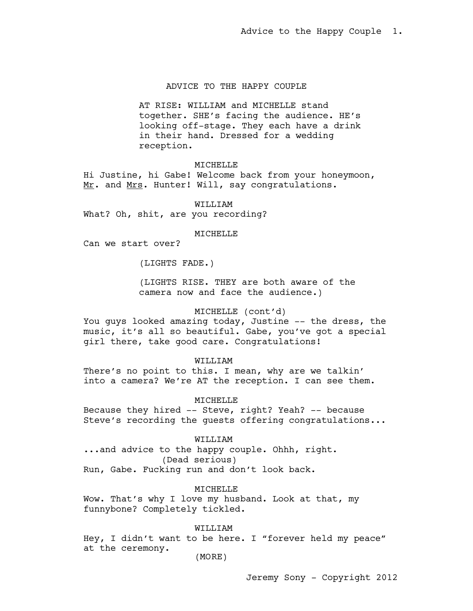# ADVICE TO THE HAPPY COUPLE

AT RISE: WILLIAM and MICHELLE stand together. SHE's facing the audience. HE's looking off-stage. They each have a drink in their hand. Dressed for a wedding reception.

### **MTCHELLE**

Hi Justine, hi Gabe! Welcome back from your honeymoon, Mr. and Mrs. Hunter! Will, say congratulations.

WILLIAM What? Oh, shit, are you recording?

#### MICHELLE

Can we start over?

(LIGHTS FADE.)

(LIGHTS RISE. THEY are both aware of the camera now and face the audience.)

# MICHELLE (cont'd)

You guys looked amazing today, Justine -- the dress, the music, it's all so beautiful. Gabe, you've got a special girl there, take good care. Congratulations!

### WILLIAM

There's no point to this. I mean, why are we talkin' into a camera? We're AT the reception. I can see them.

#### MICHELLE

Because they hired -- Steve, right? Yeah? -- because Steve's recording the guests offering congratulations...

### WILLIAM

...and advice to the happy couple. Ohhh, right. (Dead serious) Run, Gabe. Fucking run and don't look back.

MICHELLE

Wow. That's why I love my husband. Look at that, my funnybone? Completely tickled.

# WILLIAM

Hey, I didn't want to be here. I "forever held my peace" at the ceremony.

(MORE)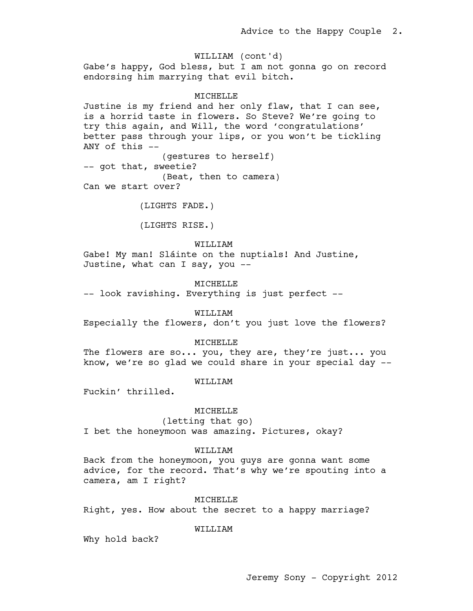Gabe's happy, God bless, but I am not gonna go on record endorsing him marrying that evil bitch. WILLIAM (cont'd)

### MICHELLE

Justine is my friend and her only flaw, that I can see, is a horrid taste in flowers. So Steve? We're going to try this again, and Will, the word 'congratulations' better pass through your lips, or you won't be tickling ANY of this  $-$ (gestures to herself) -- got that, sweetie? (Beat, then to camera) Can we start over?

(LIGHTS FADE.)

(LIGHTS RISE.)

WILLIAM

Gabe! My man! Sláinte on the nuptials! And Justine, Justine, what can I say, you --

**MTCHELLE** 

-- look ravishing. Everything is just perfect --

WILLIAM

Especially the flowers, don't you just love the flowers?

### MICHELLE

The flowers are so... you, they are, they're just... you know, we're so glad we could share in your special day --

## WILLIAM

Fuckin' thrilled.

#### MICHELLE

(letting that go)

I bet the honeymoon was amazing. Pictures, okay?

## WILLIAM

Back from the honeymoon, you guys are gonna want some advice, for the record. That's why we're spouting into a camera, am I right?

#### MICHELLE

Right, yes. How about the secret to a happy marriage?

#### WILLIAM

Why hold back?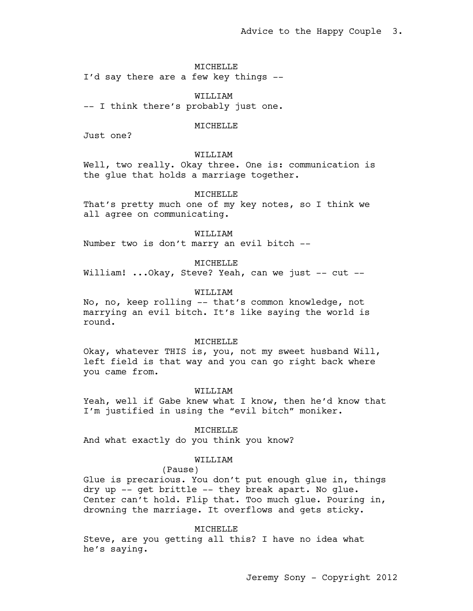MICHELLE

I'd say there are a few key things --

WILLIAM -- I think there's probably just one.

#### MICHELLE

Just one?

# WILLIAM

Well, two really. Okay three. One is: communication is the glue that holds a marriage together.

### MTCHELLE

That's pretty much one of my key notes, so I think we all agree on communicating.

### WILLIAM

Number two is don't marry an evil bitch --

MICHELLE

William! ... Okay, Steve? Yeah, can we just -- cut --

# WILLIAM

No, no, keep rolling -- that's common knowledge, not marrying an evil bitch. It's like saying the world is round.

### MICHELLE

Okay, whatever THIS is, you, not my sweet husband Will, left field is that way and you can go right back where you came from.

### WILLIAM

Yeah, well if Gabe knew what I know, then he'd know that I'm justified in using the "evil bitch" moniker.

#### MICHELLE

And what exactly do you think you know?

### WILLIAM

#### (Pause)

Glue is precarious. You don't put enough glue in, things dry up -- get brittle -- they break apart. No glue. Center can't hold. Flip that. Too much glue. Pouring in, drowning the marriage. It overflows and gets sticky.

#### MICHELLE

Steve, are you getting all this? I have no idea what he's saying.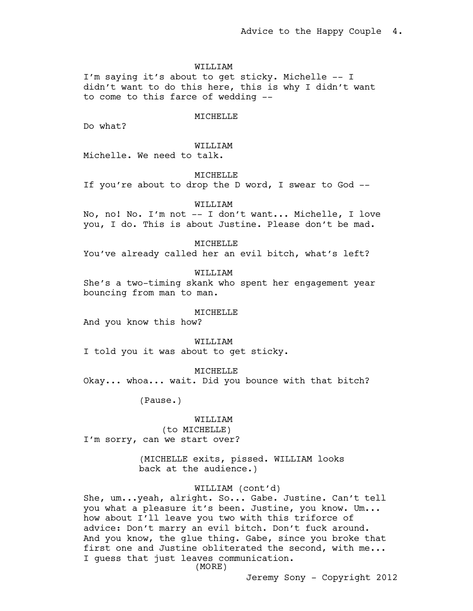### WILLIAM

I'm saying it's about to get sticky. Michelle -- I didn't want to do this here, this is why I didn't want to come to this farce of wedding --

#### **MTCHELLE**

Do what?

## WILLIAM

Michelle. We need to talk.

MICHELLE

If you're about to drop the D word, I swear to God --

WILLIAM

No, no! No. I'm not -- I don't want... Michelle, I love you, I do. This is about Justine. Please don't be mad.

MICHELLE

You've already called her an evil bitch, what's left?

WILLIAM

She's a two-timing skank who spent her engagement year bouncing from man to man.

#### **MTCHELLE**

And you know this how?

#### WILLIAM

I told you it was about to get sticky.

MICHELLE

Okay... whoa... wait. Did you bounce with that bitch?

(Pause.)

# WILLIAM (to MICHELLE) I'm sorry, can we start over?

(MICHELLE exits, pissed. WILLIAM looks back at the audience.)

# WILLIAM (cont'd)

She, um...yeah, alright. So... Gabe. Justine. Can't tell you what a pleasure it's been. Justine, you know. Um... how about I'll leave you two with this triforce of advice: Don't marry an evil bitch. Don't fuck around. And you know, the glue thing. Gabe, since you broke that first one and Justine obliterated the second, with me... I guess that just leaves communication.

(MORE)

Jeremy Sony - Copyright 2012